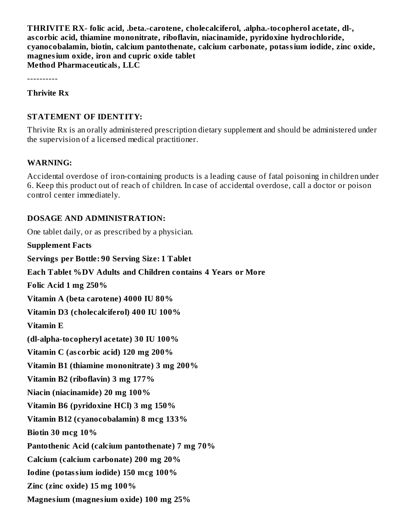**THRIVITE RX- folic acid, .beta.-carotene, cholecalciferol, .alpha.-tocopherol acetate, dl-, as corbic acid, thiamine mononitrate, riboflavin, niacinamide, pyridoxine hydrochloride, cyanocobalamin, biotin, calcium pantothenate, calcium carbonate, potassium iodide, zinc oxide, magnesium oxide, iron and cupric oxide tablet Method Pharmaceuticals, LLC**

----------

**Thrivite Rx**

### **STATEMENT OF IDENTITY:**

Thrivite Rx is an orally administered prescription dietary supplement and should be administered under the supervision of a licensed medical practitioner.

#### **WARNING:**

Accidental overdose of iron-containing products is a leading cause of fatal poisoning in children under 6. Keep this product out of reach of children. In case of accidental overdose, call a doctor or poison control center immediately.

### **DOSAGE AND ADMINISTRATION:**

One tablet daily, or as prescribed by a physician.

**Supplement Facts Servings per Bottle: 90 Serving Size: 1 Tablet Each Tablet %DV Adults and Children contains 4 Years or More Folic Acid 1 mg 250% Vitamin A (beta carotene) 4000 IU 80% Vitamin D3 (cholecalciferol) 400 IU 100% Vitamin E (dl-alpha-tocopheryl acetate) 30 IU 100% Vitamin C (as corbic acid) 120 mg 200% Vitamin B1 (thiamine mononitrate) 3 mg 200% Vitamin B2 (riboflavin) 3 mg 177% Niacin (niacinamide) 20 mg 100% Vitamin B6 (pyridoxine HCl) 3 mg 150% Vitamin B12 (cyanocobalamin) 8 mcg 133% Biotin 30 mcg 10% Pantothenic Acid (calcium pantothenate) 7 mg 70% Calcium (calcium carbonate) 200 mg 20% Iodine (potassium iodide) 150 mcg 100% Zinc (zinc oxide) 15 mg 100% Magnesium (magnesium oxide) 100 mg 25%**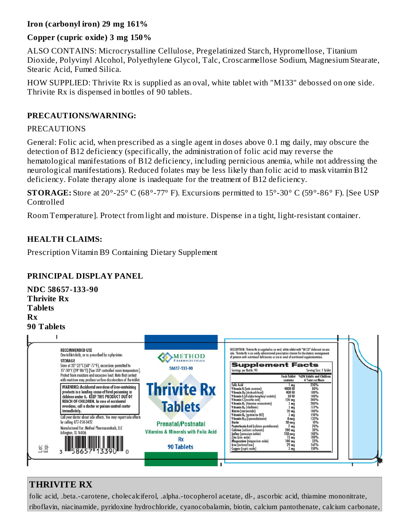# **Iron (carbonyl iron) 29 mg 161%**

# **Copper (cupric oxide) 3 mg 150%**

ALSO CONTAINS: Microcrystalline Cellulose, Pregelatinized Starch, Hypromellose, Titanium Dioxide, Polyvinyl Alcohol, Polyethylene Glycol, Talc, Croscarmellose Sodium, Magnesium Stearate, Stearic Acid, Fumed Silica.

HOW SUPPLIED: Thrivite Rx is supplied as an oval, white tablet with "M133" debossed on one side. Thrivite Rx is dispensed in bottles of 90 tablets.

## **PRECAUTIONS/WARNING:**

## PRECAUTIONS

General: Folic acid, when prescribed as a single agent in doses above 0.1 mg daily, may obscure the detection of B12 deficiency (specifically, the administration of folic acid may reverse the hematological manifestations of B12 deficiency, including pernicious anemia, while not addressing the neurological manifestations). Reduced folates may be less likely than folic acid to mask vitamin B12 deficiency. Folate therapy alone is inadequate for the treatment of B12 deficiency.

**STORAGE:** Store at 20°-25° C (68°-77° F). Excursions permitted to 15°-30° C (59°-86° F). [See USP Controlled

Room Temperature]. Protect from light and moisture. Dispense in a tight, light-resistant container.

# **HEALTH CLAIMS:**

Prescription Vitamin B9 Containing Dietary Supplement

# **PRINCIPAL DISPLAY PANEL**



# **THRIVITE RX**

folic acid, .beta.-carotene, cholecalciferol, .alpha.-tocopherol acetate, dl-, ascorbic acid, thiamine mononitrate, riboflavin, niacinamide, pyridoxine hydrochloride, cyanocobalamin, biotin, calcium pantothenate, calcium carbonate,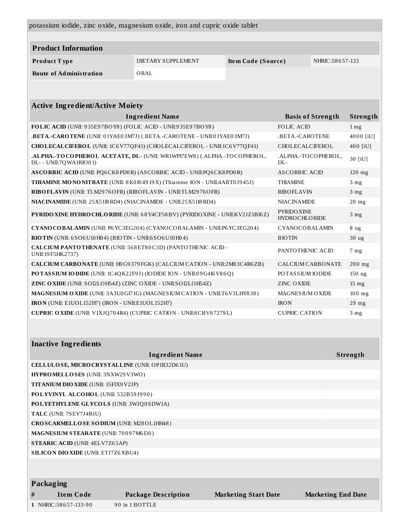| potassium iodide, zinc oxide, magnesium oxide, iron and cupric oxide tablet                                                     |                        |                                        |                            |                          |                  |
|---------------------------------------------------------------------------------------------------------------------------------|------------------------|----------------------------------------|----------------------------|--------------------------|------------------|
|                                                                                                                                 |                        |                                        |                            |                          |                  |
| <b>Product Information</b>                                                                                                      |                        |                                        |                            |                          |                  |
| Product Type                                                                                                                    | DIETARY SUPPLEMENT     | NHRIC: 58657-133<br>Item Code (Source) |                            |                          |                  |
| <b>Route of Administration</b>                                                                                                  | ORAL                   |                                        |                            |                          |                  |
|                                                                                                                                 |                        |                                        |                            |                          |                  |
|                                                                                                                                 |                        |                                        |                            |                          |                  |
| <b>Active Ingredient/Active Moiety</b>                                                                                          |                        |                                        |                            |                          |                  |
|                                                                                                                                 | <b>Ingredient Name</b> |                                        |                            | <b>Basis of Strength</b> | Strength         |
| FOLIC ACID (UNII: 935E97BOY8) (FOLIC ACID - UNII:935E97BOY8)                                                                    |                        |                                        | <b>FOLIC ACID</b>          |                          | 1 <sub>mg</sub>  |
| .BETA.-CAROTENE (UNII: 01YAE03M7J) (.BETA.-CAROTENE - UNII:01YAE03M7J)                                                          |                        |                                        | .BETA.-CAROTENE            |                          | 4000 [iU]        |
| CHOLECALCIFEROL (UNII: 1C6V77QF41) (CHOLECALCIFEROL - UNII:1C6V77QF41)                                                          |                        |                                        | CHOLECALCIFEROL            |                          | 400 [iU]         |
| .ALPHA.-TOCOPHEROL ACETATE, DL- (UNII: WR1WPI7EW8) (.ALPHA.-TOCOPHEROL,<br>DL- - UNII:7QWA1RIO01)                               |                        |                                        | .ALPHA.-TOCOPHEROL,<br>DL- |                          | 30 [iU]          |
| ASCORBIC ACID (UNII: PQ6CK8PD0R) (ASCORBIC ACID - UNII:PQ6CK8PD0R)                                                              |                        |                                        | <b>ASCORBIC ACID</b>       |                          | $120$ mg         |
| THIAMINE MONONITRATE (UNII: 8 K0 I0 49 19 X) (Thiamine ION - UNII:4ABT0J945J)<br><b>THIAMINE</b>                                |                        |                                        |                            | 3 <sub>mg</sub>          |                  |
| RIBO FLAVIN (UNII: TLM2976OFR) (RIBO FLAVIN - UNII: TLM2976OFR)<br><b>RIBOFLAVIN</b>                                            |                        |                                        | 3 <sub>mg</sub>            |                          |                  |
| NIACINAMIDE (UNII: 25X5118 RD4) (NIACINAMIDE - UNII:25X5118 RD4)<br><b>NIACINAMIDE</b>                                          |                        |                                        |                            | $20$ mg                  |                  |
| <b>PYRIDO XINE</b><br>PYRIDO XINE HYDRO CHLO RIDE (UNII: 68 Y4CF58 BV) (PYRIDO XINE - UNII: KV2JZ1BI6Z)<br><b>HYDROCHLORIDE</b> |                        |                                        | 3 <sub>mg</sub>            |                          |                  |
| CYANO COBALAMIN (UNII: P6 YC3EG204) (CYANOCOBALAMIN - UNII:P6 YC3EG204)                                                         |                        |                                        | CYANOCOBALAMIN             |                          | 8 ug             |
| BIOTIN (UNII: 6SO6U10H04) (BIOTIN - UNII:6SO6U10H04)                                                                            |                        |                                        | <b>BIOTIN</b>              |                          | 30 <sub>ug</sub> |
| CALCIUM PANTO THENATE (UNII: 568ET80C3D) (PANTO THENIC ACID -<br>UNII:19 F5 HK2737)                                             |                        |                                        | PANTOTHENIC ACID           |                          | 7 <sub>mg</sub>  |
| CALCIUM CARBONATE (UNII: H0G9379FGK) (CALCIUM CATION - UNII:2M83C4R6ZB)                                                         |                        |                                        | <b>CALCIUM CARBONATE</b>   |                          | $200$ mg         |
| POTASSIUM IODIDE (UNII: 1C4QK22F9J) (IODIDE ION - UNII:09G4I6V86Q)                                                              |                        |                                        | POTASSIUM IODIDE           |                          | 150 ug           |
| ZINC OXIDE (UNII: SOI2LOH54Z) (ZINC OXIDE - UNII:SOI2LOH54Z)<br><b>ZINC OXIDE</b>                                               |                        |                                        |                            | $15 \text{ mg}$          |                  |
| MAGNESIUM OXIDE (UNII: 3A3U0 GI71G) (MAGNESIUM CATION - UNII:T6 V3LHY838)                                                       |                        |                                        | <b>MAGNESIUM OXIDE</b>     |                          | $100$ mg         |
| IRON (UNII: E1UOL152H7) (IRON - UNII:E1UOL152H7)                                                                                |                        |                                        | <b>IRON</b>                |                          | 29 mg            |
| <b>CUPRIC OXIDE</b> (UNII: V1XJQ704R4) (CUPRIC CATION - UNII:8CBV67279L)<br><b>CUPRIC CATION</b>                                |                        |                                        |                            | 3 <sub>mg</sub>          |                  |
|                                                                                                                                 |                        |                                        |                            |                          |                  |

| <b>Inactive Ingredients</b>                     |                                              |                             |                           |  |  |
|-------------------------------------------------|----------------------------------------------|-----------------------------|---------------------------|--|--|
| <b>Ingredient Name</b>                          |                                              |                             | Strength                  |  |  |
| CELLULOSE, MICRO CRYSTALLINE (UNII: OP1R32D61U) |                                              |                             |                           |  |  |
| <b>HYPROMELLOSES</b> (UNII: 3NXW29V3WO)         |                                              |                             |                           |  |  |
|                                                 | <b>TITANIUM DIO XIDE (UNII: 15FIX9 V2JP)</b> |                             |                           |  |  |
| POLYVINYL ALCOHOL (UNII: 532B59J990)            |                                              |                             |                           |  |  |
| POLYETHYLENE GLYCOLS (UNII: 3WJQ0SDW1A)         |                                              |                             |                           |  |  |
| TALC (UNII: 7SEV7J4R1U)                         |                                              |                             |                           |  |  |
| CROSCARMELLOSE SODIUM (UNII: M28OL1HH48)        |                                              |                             |                           |  |  |
| <b>MAGNESIUM STEARATE (UNII: 70097M6I30)</b>    |                                              |                             |                           |  |  |
| <b>STEARIC ACID (UNII: 4ELV7Z65AP)</b>          |                                              |                             |                           |  |  |
| <b>SILICON DIO XIDE (UNII: ETJ7Z6XBU4)</b>      |                                              |                             |                           |  |  |
|                                                 |                                              |                             |                           |  |  |
|                                                 |                                              |                             |                           |  |  |
| Packaging                                       |                                              |                             |                           |  |  |
| <b>Item Code</b><br>#                           | <b>Package Description</b>                   | <b>Marketing Start Date</b> | <b>Marketing End Date</b> |  |  |
| 1 NHRIC:58657-133-90                            | 90 in 1 BOTTLE                               |                             |                           |  |  |